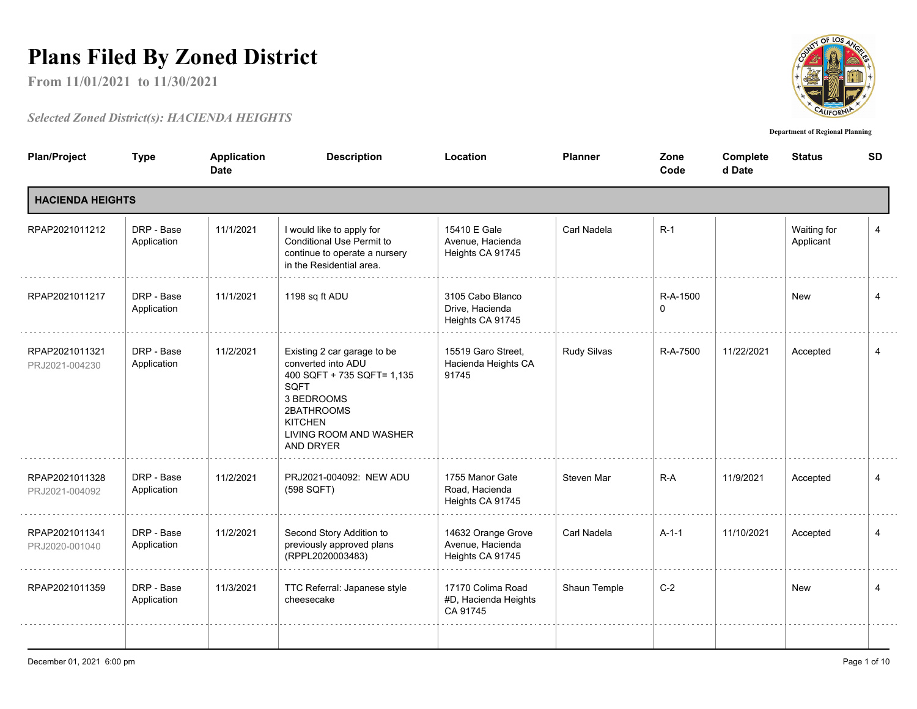## **Plans Filed By Zoned District**

**From 11/01/2021 to 11/30/2021**

## *Selected Zoned District(s): HACIENDA HEIGHTS*



**Department of Regional Planning**

| <b>Plan/Project</b>              | <b>Type</b>               | <b>Application</b><br><b>Date</b> | <b>Description</b>                                                                                                                                                           | Location                                                   | <b>Planner</b> | Zone<br>Code  | Complete<br>d Date | <b>Status</b>            | <b>SD</b>      |
|----------------------------------|---------------------------|-----------------------------------|------------------------------------------------------------------------------------------------------------------------------------------------------------------------------|------------------------------------------------------------|----------------|---------------|--------------------|--------------------------|----------------|
| <b>HACIENDA HEIGHTS</b>          |                           |                                   |                                                                                                                                                                              |                                                            |                |               |                    |                          |                |
| RPAP2021011212                   | DRP - Base<br>Application | 11/1/2021                         | I would like to apply for<br>Conditional Use Permit to<br>continue to operate a nursery<br>in the Residential area.                                                          | 15410 E Gale<br>Avenue, Hacienda<br>Heights CA 91745       | Carl Nadela    | $R-1$         |                    | Waiting for<br>Applicant | $\overline{4}$ |
| RPAP2021011217                   | DRP - Base<br>Application | 11/1/2021                         | 1198 sq ft ADU                                                                                                                                                               | 3105 Cabo Blanco<br>Drive, Hacienda<br>Heights CA 91745    |                | R-A-1500<br>0 |                    | New                      | $\overline{4}$ |
| RPAP2021011321<br>PRJ2021-004230 | DRP - Base<br>Application | 11/2/2021                         | Existing 2 car garage to be<br>converted into ADU<br>400 SQFT + 735 SQFT= 1,135<br>SQFT<br>3 BEDROOMS<br>2BATHROOMS<br><b>KITCHEN</b><br>LIVING ROOM AND WASHER<br>AND DRYER | 15519 Garo Street,<br>Hacienda Heights CA<br>91745         | Rudy Silvas    | R-A-7500      | 11/22/2021         | Accepted                 | 4              |
| RPAP2021011328<br>PRJ2021-004092 | DRP - Base<br>Application | 11/2/2021                         | PRJ2021-004092: NEW ADU<br>(598 SQFT)                                                                                                                                        | 1755 Manor Gate<br>Road, Hacienda<br>Heights CA 91745      | Steven Mar     | $R-A$         | 11/9/2021          | Accepted                 | 4              |
| RPAP2021011341<br>PRJ2020-001040 | DRP - Base<br>Application | 11/2/2021                         | Second Story Addition to<br>previously approved plans<br>(RPPL2020003483)                                                                                                    | 14632 Orange Grove<br>Avenue, Hacienda<br>Heights CA 91745 | Carl Nadela    | $A-1-1$       | 11/10/2021         | Accepted                 | $\overline{4}$ |
| RPAP2021011359                   | DRP - Base<br>Application | 11/3/2021                         | TTC Referral: Japanese style<br>cheesecake                                                                                                                                   | 17170 Colima Road<br>#D, Hacienda Heights<br>CA 91745      | Shaun Temple   | $C-2$         |                    | <b>New</b>               | $\overline{4}$ |
|                                  |                           |                                   |                                                                                                                                                                              |                                                            |                |               |                    |                          |                |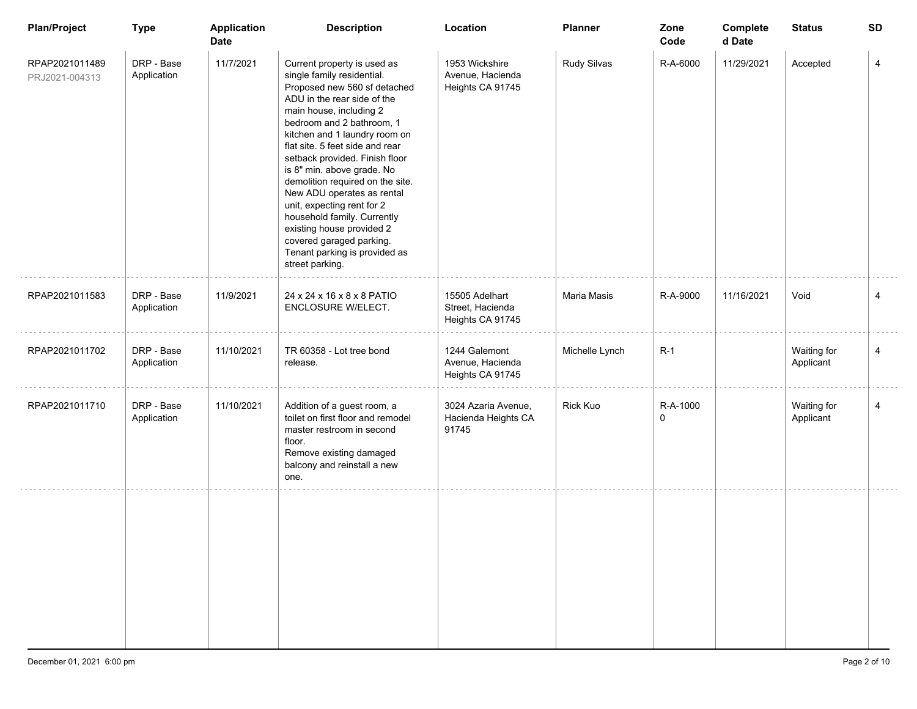| <b>Plan/Project</b>              | <b>Type</b>               | <b>Application</b><br><b>Date</b> | <b>Description</b>                                                                                                                                                                                                                                                                                                                                                                                                                                                                                                                                               | Location                                               | <b>Planner</b> | Zone<br>Code         | Complete<br>d Date | <b>Status</b>            | <b>SD</b>      |
|----------------------------------|---------------------------|-----------------------------------|------------------------------------------------------------------------------------------------------------------------------------------------------------------------------------------------------------------------------------------------------------------------------------------------------------------------------------------------------------------------------------------------------------------------------------------------------------------------------------------------------------------------------------------------------------------|--------------------------------------------------------|----------------|----------------------|--------------------|--------------------------|----------------|
| RPAP2021011489<br>PRJ2021-004313 | DRP - Base<br>Application | 11/7/2021                         | Current property is used as<br>single family residential.<br>Proposed new 560 sf detached<br>ADU in the rear side of the<br>main house, including 2<br>bedroom and 2 bathroom, 1<br>kitchen and 1 laundry room on<br>flat site. 5 feet side and rear<br>setback provided. Finish floor<br>is 8" min. above grade. No<br>demolition required on the site.<br>New ADU operates as rental<br>unit, expecting rent for 2<br>household family. Currently<br>existing house provided 2<br>covered garaged parking.<br>Tenant parking is provided as<br>street parking. | 1953 Wickshire<br>Avenue, Hacienda<br>Heights CA 91745 | Rudy Silvas    | R-A-6000             | 11/29/2021         | Accepted                 | 4              |
| RPAP2021011583                   | DRP - Base<br>Application | 11/9/2021                         | 24 x 24 x 16 x 8 x 8 PATIO<br>ENCLOSURE W/ELECT.                                                                                                                                                                                                                                                                                                                                                                                                                                                                                                                 | 15505 Adelhart<br>Street, Hacienda<br>Heights CA 91745 | Maria Masis    | R-A-9000             | 11/16/2021         | Void                     | 4              |
| RPAP2021011702                   | DRP - Base<br>Application | 11/10/2021                        | TR 60358 - Lot tree bond<br>release.                                                                                                                                                                                                                                                                                                                                                                                                                                                                                                                             | 1244 Galemont<br>Avenue, Hacienda<br>Heights CA 91745  | Michelle Lynch | $R-1$                |                    | Waiting for<br>Applicant | $\overline{4}$ |
| RPAP2021011710                   | DRP - Base<br>Application | 11/10/2021                        | Addition of a guest room, a<br>toilet on first floor and remodel<br>master restroom in second<br>floor.<br>Remove existing damaged<br>balcony and reinstall a new<br>one.                                                                                                                                                                                                                                                                                                                                                                                        | 3024 Azaria Avenue,<br>Hacienda Heights CA<br>91745    | Rick Kuo       | R-A-1000<br>$\Omega$ |                    | Waiting for<br>Applicant | 4              |
|                                  |                           |                                   |                                                                                                                                                                                                                                                                                                                                                                                                                                                                                                                                                                  |                                                        |                |                      |                    |                          |                |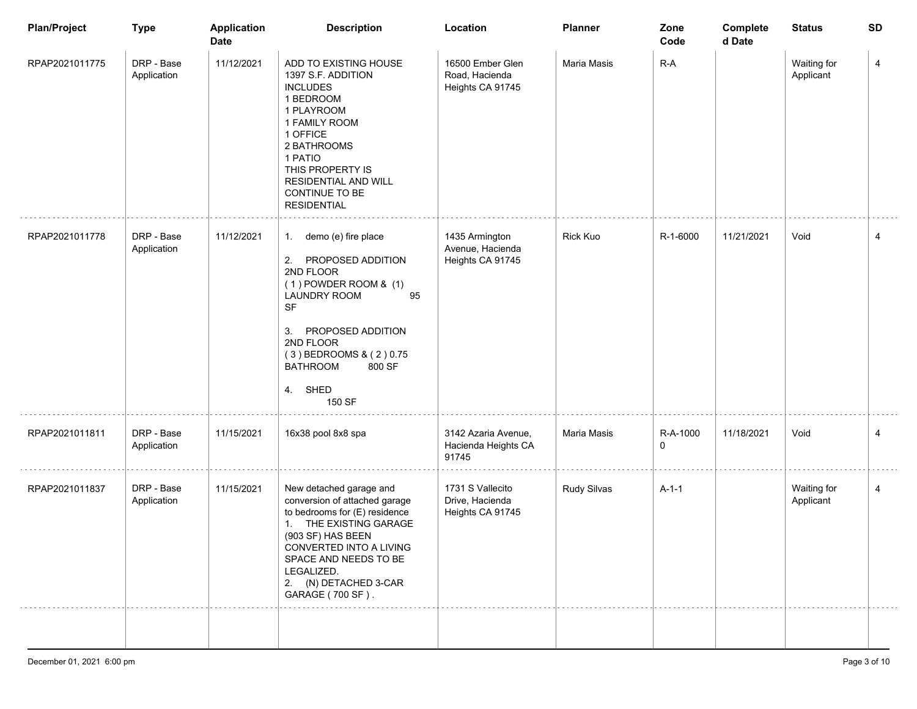| <b>Plan/Project</b> | <b>Type</b>               | <b>Application</b><br><b>Date</b> | <b>Description</b>                                                                                                                                                                                                                                         | Location                                                | <b>Planner</b>  | Zone<br>Code  | Complete<br>d Date | <b>Status</b>            | <b>SD</b> |
|---------------------|---------------------------|-----------------------------------|------------------------------------------------------------------------------------------------------------------------------------------------------------------------------------------------------------------------------------------------------------|---------------------------------------------------------|-----------------|---------------|--------------------|--------------------------|-----------|
| RPAP2021011775      | DRP - Base<br>Application | 11/12/2021                        | ADD TO EXISTING HOUSE<br>1397 S.F. ADDITION<br><b>INCLUDES</b><br>1 BEDROOM<br>1 PLAYROOM<br>1 FAMILY ROOM<br>1 OFFICE<br>2 BATHROOMS<br>1 PATIO<br>THIS PROPERTY IS<br><b>RESIDENTIAL AND WILL</b><br>CONTINUE TO BE<br><b>RESIDENTIAL</b>                | 16500 Ember Glen<br>Road, Hacienda<br>Heights CA 91745  | Maria Masis     | $R-A$         |                    | Waiting for<br>Applicant | 4         |
| RPAP2021011778      | DRP - Base<br>Application | 11/12/2021                        | 1. demo (e) fire place<br>PROPOSED ADDITION<br>2.<br>2ND FLOOR<br>$(1)$ POWDER ROOM & $(1)$<br><b>LAUNDRY ROOM</b><br>95<br><b>SF</b><br>PROPOSED ADDITION<br>3.<br>2ND FLOOR<br>(3) BEDROOMS & (2) 0.75<br><b>BATHROOM</b><br>800 SF<br>4. SHED<br>150 SF | 1435 Armington<br>Avenue, Hacienda<br>Heights CA 91745  | <b>Rick Kuo</b> | R-1-6000      | 11/21/2021         | Void                     | 4         |
| RPAP2021011811      | DRP - Base<br>Application | 11/15/2021                        | 16x38 pool 8x8 spa                                                                                                                                                                                                                                         | 3142 Azaria Avenue,<br>Hacienda Heights CA<br>91745     | Maria Masis     | R-A-1000<br>0 | 11/18/2021         | Void                     | 4         |
| RPAP2021011837      | DRP - Base<br>Application | 11/15/2021                        | New detached garage and<br>conversion of attached garage<br>to bedrooms for (E) residence<br>1. THE EXISTING GARAGE<br>(903 SF) HAS BEEN<br>CONVERTED INTO A LIVING<br>SPACE AND NEEDS TO BE<br>LEGALIZED.<br>2. (N) DETACHED 3-CAR<br>GARAGE (700 SF).    | 1731 S Vallecito<br>Drive, Hacienda<br>Heights CA 91745 | Rudy Silvas     | $A-1-1$       |                    | Waiting for<br>Applicant | 4         |
|                     |                           |                                   |                                                                                                                                                                                                                                                            |                                                         |                 |               |                    |                          |           |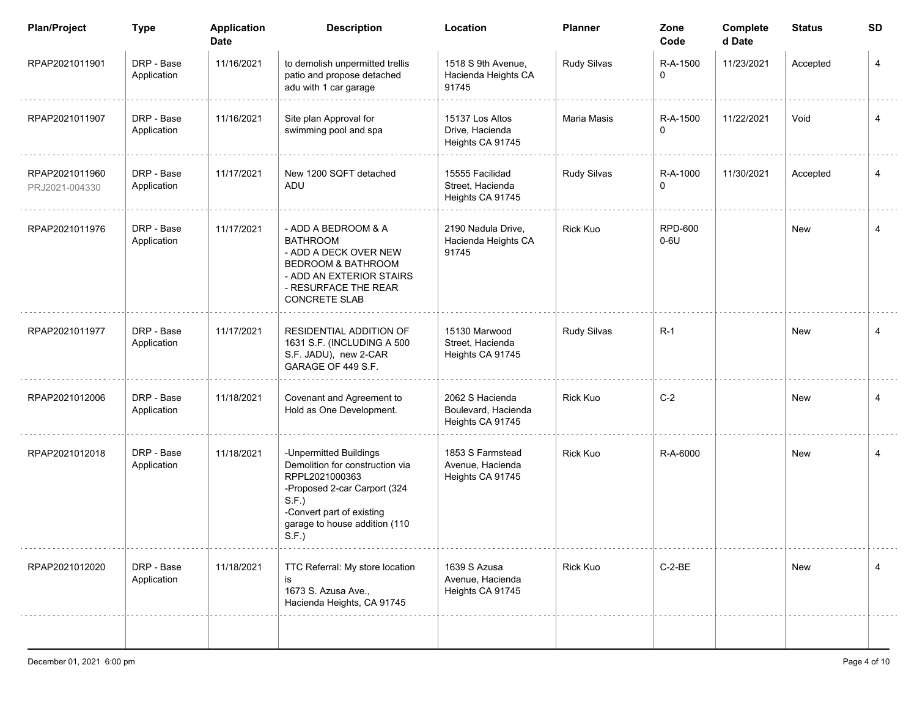| <b>Plan/Project</b>              | <b>Type</b>               | <b>Application</b><br><b>Date</b> | <b>Description</b>                                                                                                                                                                        | Location                                                   | <b>Planner</b>  | Zone<br>Code             | Complete<br>d Date | <b>Status</b> | <b>SD</b>      |
|----------------------------------|---------------------------|-----------------------------------|-------------------------------------------------------------------------------------------------------------------------------------------------------------------------------------------|------------------------------------------------------------|-----------------|--------------------------|--------------------|---------------|----------------|
| RPAP2021011901                   | DRP - Base<br>Application | 11/16/2021                        | to demolish unpermitted trellis<br>patio and propose detached<br>adu with 1 car garage                                                                                                    | 1518 S 9th Avenue,<br>Hacienda Heights CA<br>91745         | Rudy Silvas     | R-A-1500<br>0            | 11/23/2021         | Accepted      | 4              |
| RPAP2021011907                   | DRP - Base<br>Application | 11/16/2021                        | Site plan Approval for<br>swimming pool and spa                                                                                                                                           | 15137 Los Altos<br>Drive, Hacienda<br>Heights CA 91745     | Maria Masis     | R-A-1500<br>0            | 11/22/2021         | Void          | 4              |
| RPAP2021011960<br>PRJ2021-004330 | DRP - Base<br>Application | 11/17/2021                        | New 1200 SQFT detached<br>ADU                                                                                                                                                             | 15555 Facilidad<br>Street, Hacienda<br>Heights CA 91745    | Rudy Silvas     | R-A-1000<br>0            | 11/30/2021         | Accepted      | 4              |
| RPAP2021011976                   | DRP - Base<br>Application | 11/17/2021                        | - ADD A BEDROOM & A<br><b>BATHROOM</b><br>- ADD A DECK OVER NEW<br>BEDROOM & BATHROOM<br>- ADD AN EXTERIOR STAIRS<br>- RESURFACE THE REAR<br><b>CONCRETE SLAB</b>                         | 2190 Nadula Drive,<br>Hacienda Heights CA<br>91745         | Rick Kuo        | <b>RPD-600</b><br>$0-6U$ |                    | New           | 4              |
| RPAP2021011977                   | DRP - Base<br>Application | 11/17/2021                        | RESIDENTIAL ADDITION OF<br>1631 S.F. (INCLUDING A 500<br>S.F. JADU), new 2-CAR<br>GARAGE OF 449 S.F.                                                                                      | 15130 Marwood<br>Street, Hacienda<br>Heights CA 91745      | Rudy Silvas     | $R-1$                    |                    | New           | 4              |
| RPAP2021012006                   | DRP - Base<br>Application | 11/18/2021                        | Covenant and Agreement to<br>Hold as One Development.                                                                                                                                     | 2062 S Hacienda<br>Boulevard, Hacienda<br>Heights CA 91745 | <b>Rick Kuo</b> | $C-2$                    |                    | New           | 4              |
| RPAP2021012018                   | DRP - Base<br>Application | 11/18/2021                        | -Unpermitted Buildings<br>Demolition for construction via<br>RPPL2021000363<br>-Proposed 2-car Carport (324<br>S.F.<br>-Convert part of existing<br>garage to house addition (110<br>S.F. | 1853 S Farmstead<br>Avenue, Hacienda<br>Heights CA 91745   | <b>Rick Kuo</b> | R-A-6000                 |                    | New           | $\overline{4}$ |
| RPAP2021012020                   | DRP - Base<br>Application | 11/18/2021                        | TTC Referral: My store location<br>is<br>1673 S. Azusa Ave.,<br>Hacienda Heights, CA 91745                                                                                                | 1639 S Azusa<br>Avenue, Hacienda<br>Heights CA 91745       | Rick Kuo        | $C-2-BE$                 |                    | New           | 4              |
|                                  |                           |                                   |                                                                                                                                                                                           |                                                            |                 |                          |                    |               |                |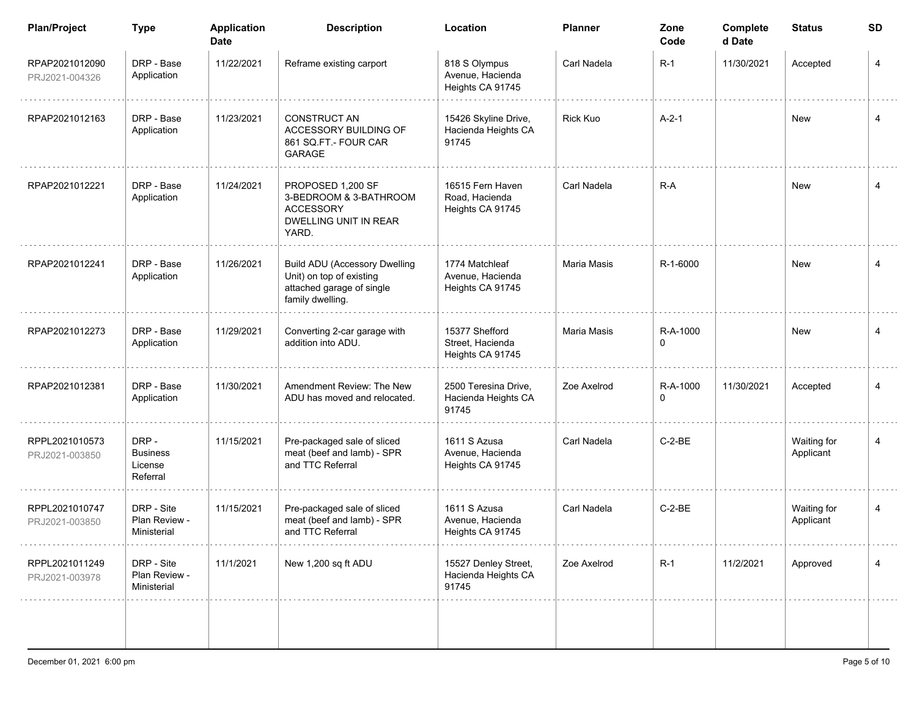| <b>Plan/Project</b>              | <b>Type</b>                                    | <b>Application</b><br><b>Date</b> | <b>Description</b>                                                                                                | Location                                               | <b>Planner</b>  | Zone<br>Code         | Complete<br>d Date | <b>Status</b>            | <b>SD</b>      |
|----------------------------------|------------------------------------------------|-----------------------------------|-------------------------------------------------------------------------------------------------------------------|--------------------------------------------------------|-----------------|----------------------|--------------------|--------------------------|----------------|
| RPAP2021012090<br>PRJ2021-004326 | DRP - Base<br>Application                      | 11/22/2021                        | Reframe existing carport                                                                                          | 818 S Olympus<br>Avenue, Hacienda<br>Heights CA 91745  | Carl Nadela     | $R-1$                | 11/30/2021         | Accepted                 | 4              |
| RPAP2021012163                   | DRP - Base<br>Application                      | 11/23/2021                        | <b>CONSTRUCT AN</b><br>ACCESSORY BUILDING OF<br>861 SQ.FT - FOUR CAR<br><b>GARAGE</b>                             | 15426 Skyline Drive,<br>Hacienda Heights CA<br>91745   | <b>Rick Kuo</b> | $A-2-1$              |                    | <b>New</b>               | 4              |
| RPAP2021012221                   | DRP - Base<br>Application                      | 11/24/2021                        | PROPOSED 1,200 SF<br>3-BEDROOM & 3-BATHROOM<br><b>ACCESSORY</b><br>DWELLING UNIT IN REAR<br>YARD.                 | 16515 Fern Haven<br>Road, Hacienda<br>Heights CA 91745 | Carl Nadela     | $R-A$                |                    | New                      | 4              |
| RPAP2021012241                   | DRP - Base<br>Application                      | 11/26/2021                        | <b>Build ADU (Accessory Dwelling</b><br>Unit) on top of existing<br>attached garage of single<br>family dwelling. | 1774 Matchleaf<br>Avenue, Hacienda<br>Heights CA 91745 | Maria Masis     | R-1-6000             |                    | <b>New</b>               | 4              |
| RPAP2021012273                   | DRP - Base<br>Application                      | 11/29/2021                        | Converting 2-car garage with<br>addition into ADU.                                                                | 15377 Shefford<br>Street, Hacienda<br>Heights CA 91745 | Maria Masis     | R-A-1000<br>$\Omega$ |                    | New                      | $\overline{4}$ |
| RPAP2021012381                   | DRP - Base<br>Application                      | 11/30/2021                        | Amendment Review: The New<br>ADU has moved and relocated.                                                         | 2500 Teresina Drive,<br>Hacienda Heights CA<br>91745   | Zoe Axelrod     | R-A-1000<br>$\Omega$ | 11/30/2021         | Accepted                 | $\overline{4}$ |
| RPPL2021010573<br>PRJ2021-003850 | DRP-<br><b>Business</b><br>License<br>Referral | 11/15/2021                        | Pre-packaged sale of sliced<br>meat (beef and lamb) - SPR<br>and TTC Referral                                     | 1611 S Azusa<br>Avenue, Hacienda<br>Heights CA 91745   | Carl Nadela     | $C-2-BE$             |                    | Waiting for<br>Applicant | $\overline{4}$ |
| RPPL2021010747<br>PRJ2021-003850 | DRP - Site<br>Plan Review -<br>Ministerial     | 11/15/2021                        | Pre-packaged sale of sliced<br>meat (beef and lamb) - SPR<br>and TTC Referral                                     | 1611 S Azusa<br>Avenue, Hacienda<br>Heights CA 91745   | Carl Nadela     | $C-2-BE$             |                    | Waiting for<br>Applicant | 4              |
| RPPL2021011249<br>PRJ2021-003978 | DRP - Site<br>Plan Review -<br>Ministerial     | 11/1/2021                         | New 1,200 sq ft ADU                                                                                               | 15527 Denley Street,<br>Hacienda Heights CA<br>91745   | Zoe Axelrod     | $R-1$                | 11/2/2021          | Approved                 | 4              |
|                                  |                                                |                                   |                                                                                                                   |                                                        |                 |                      |                    |                          |                |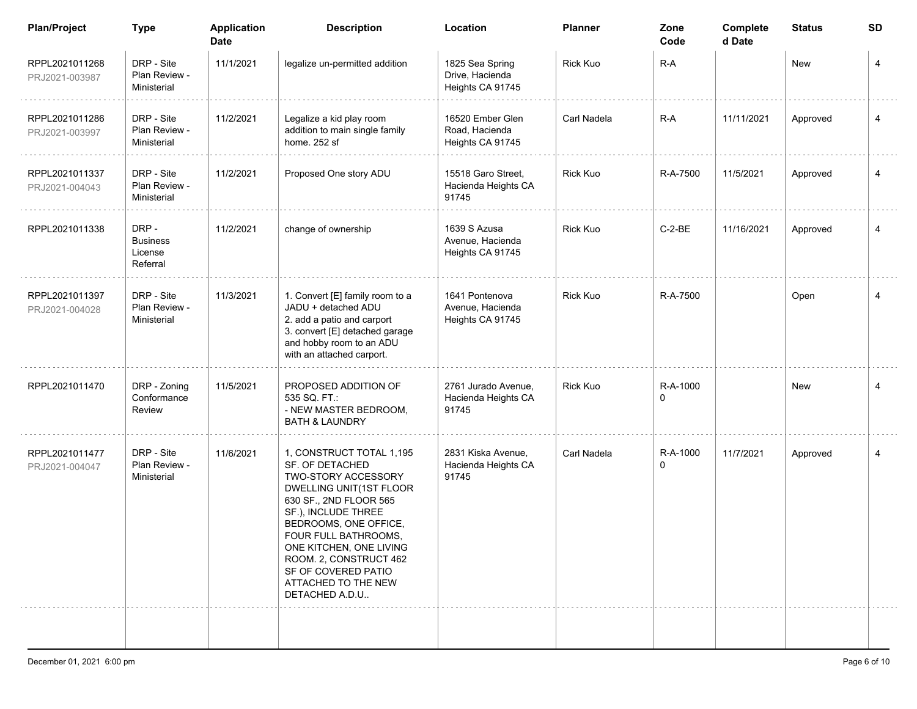| <b>Plan/Project</b>              | <b>Type</b>                                    | <b>Application</b><br><b>Date</b> | <b>Description</b>                                                                                                                                                                                                                                                                                                   | Location                                               | <b>Planner</b>  | Zone<br>Code  | Complete<br>d Date | <b>Status</b> | <b>SD</b>      |
|----------------------------------|------------------------------------------------|-----------------------------------|----------------------------------------------------------------------------------------------------------------------------------------------------------------------------------------------------------------------------------------------------------------------------------------------------------------------|--------------------------------------------------------|-----------------|---------------|--------------------|---------------|----------------|
| RPPL2021011268<br>PRJ2021-003987 | DRP - Site<br>Plan Review -<br>Ministerial     | 11/1/2021                         | legalize un-permitted addition                                                                                                                                                                                                                                                                                       | 1825 Sea Spring<br>Drive, Hacienda<br>Heights CA 91745 | <b>Rick Kuo</b> | R-A           |                    | New           | 4              |
| RPPL2021011286<br>PRJ2021-003997 | DRP - Site<br>Plan Review -<br>Ministerial     | 11/2/2021                         | Legalize a kid play room<br>addition to main single family<br>home. 252 sf                                                                                                                                                                                                                                           | 16520 Ember Glen<br>Road, Hacienda<br>Heights CA 91745 | Carl Nadela     | $R-A$         | 11/11/2021         | Approved      | 4              |
| RPPL2021011337<br>PRJ2021-004043 | DRP - Site<br>Plan Review -<br>Ministerial     | 11/2/2021                         | Proposed One story ADU                                                                                                                                                                                                                                                                                               | 15518 Garo Street.<br>Hacienda Heights CA<br>91745     | <b>Rick Kuo</b> | R-A-7500      | 11/5/2021          | Approved      | 4              |
| RPPL2021011338                   | DRP-<br><b>Business</b><br>License<br>Referral | 11/2/2021                         | change of ownership                                                                                                                                                                                                                                                                                                  | 1639 S Azusa<br>Avenue, Hacienda<br>Heights CA 91745   | Rick Kuo        | $C-2-BE$      | 11/16/2021         | Approved      | 4              |
| RPPL2021011397<br>PRJ2021-004028 | DRP - Site<br>Plan Review -<br>Ministerial     | 11/3/2021                         | 1. Convert [E] family room to a<br>JADU + detached ADU<br>2. add a patio and carport<br>3. convert [E] detached garage<br>and hobby room to an ADU<br>with an attached carport.                                                                                                                                      | 1641 Pontenova<br>Avenue, Hacienda<br>Heights CA 91745 | <b>Rick Kuo</b> | R-A-7500      |                    | Open          | 4              |
| RPPL2021011470                   | DRP - Zoning<br>Conformance<br>Review          | 11/5/2021                         | PROPOSED ADDITION OF<br>535 SQ. FT.:<br>- NEW MASTER BEDROOM,<br><b>BATH &amp; LAUNDRY</b>                                                                                                                                                                                                                           | 2761 Jurado Avenue,<br>Hacienda Heights CA<br>91745    | <b>Rick Kuo</b> | R-A-1000<br>0 |                    | New           | $\overline{4}$ |
| RPPL2021011477<br>PRJ2021-004047 | DRP - Site<br>Plan Review -<br>Ministerial     | 11/6/2021                         | 1, CONSTRUCT TOTAL 1,195<br>SF. OF DETACHED<br>TWO-STORY ACCESSORY<br>DWELLING UNIT(1ST FLOOR<br>630 SF., 2ND FLOOR 565<br>SF.), INCLUDE THREE<br>BEDROOMS, ONE OFFICE,<br>FOUR FULL BATHROOMS.<br>ONE KITCHEN, ONE LIVING<br>ROOM. 2, CONSTRUCT 462<br>SF OF COVERED PATIO<br>ATTACHED TO THE NEW<br>DETACHED A.D.U | 2831 Kiska Avenue,<br>Hacienda Heights CA<br>91745     | Carl Nadela     | R-A-1000<br>0 | 11/7/2021          | Approved      | 4              |
|                                  |                                                |                                   |                                                                                                                                                                                                                                                                                                                      |                                                        |                 |               |                    |               |                |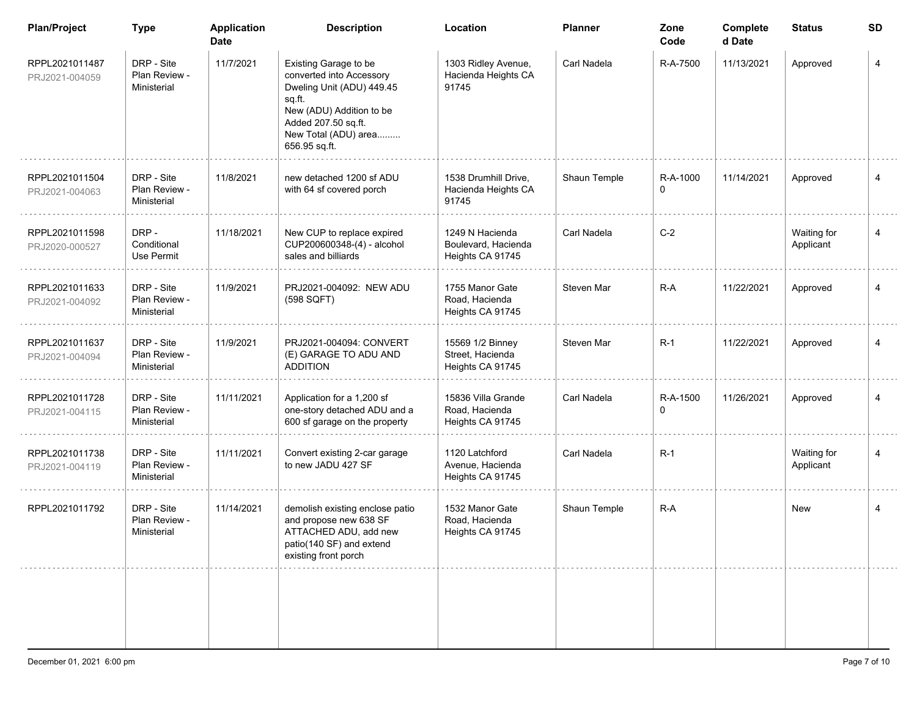| <b>Plan/Project</b>              | <b>Type</b>                                | <b>Application</b><br><b>Date</b> | <b>Description</b>                                                                                                                                                                   | Location                                                   | <b>Planner</b> | Zone<br>Code  | Complete<br>d Date | <b>Status</b>            | <b>SD</b>      |
|----------------------------------|--------------------------------------------|-----------------------------------|--------------------------------------------------------------------------------------------------------------------------------------------------------------------------------------|------------------------------------------------------------|----------------|---------------|--------------------|--------------------------|----------------|
| RPPL2021011487<br>PRJ2021-004059 | DRP - Site<br>Plan Review -<br>Ministerial | 11/7/2021                         | Existing Garage to be<br>converted into Accessory<br>Dweling Unit (ADU) 449.45<br>sq.ft.<br>New (ADU) Addition to be<br>Added 207.50 sq.ft.<br>New Total (ADU) area<br>656.95 sq.ft. | 1303 Ridley Avenue,<br>Hacienda Heights CA<br>91745        | Carl Nadela    | R-A-7500      | 11/13/2021         | Approved                 | 4              |
| RPPL2021011504<br>PRJ2021-004063 | DRP - Site<br>Plan Review -<br>Ministerial | 11/8/2021                         | new detached 1200 sf ADU<br>with 64 sf covered porch                                                                                                                                 | 1538 Drumhill Drive,<br>Hacienda Heights CA<br>91745       | Shaun Temple   | R-A-1000<br>0 | 11/14/2021         | Approved                 | $\overline{4}$ |
| RPPL2021011598<br>PRJ2020-000527 | DRP-<br>Conditional<br>Use Permit          | 11/18/2021                        | New CUP to replace expired<br>CUP200600348-(4) - alcohol<br>sales and billiards                                                                                                      | 1249 N Hacienda<br>Boulevard, Hacienda<br>Heights CA 91745 | Carl Nadela    | $C-2$         |                    | Waiting for<br>Applicant | 4              |
| RPPL2021011633<br>PRJ2021-004092 | DRP - Site<br>Plan Review -<br>Ministerial | 11/9/2021                         | PRJ2021-004092: NEW ADU<br>(598 SQFT)                                                                                                                                                | 1755 Manor Gate<br>Road. Hacienda<br>Heights CA 91745      | Steven Mar     | $R-A$         | 11/22/2021         | Approved                 | $\overline{4}$ |
| RPPL2021011637<br>PRJ2021-004094 | DRP - Site<br>Plan Review -<br>Ministerial | 11/9/2021                         | PRJ2021-004094: CONVERT<br>(E) GARAGE TO ADU AND<br><b>ADDITION</b>                                                                                                                  | 15569 1/2 Binney<br>Street, Hacienda<br>Heights CA 91745   | Steven Mar     | $R-1$         | 11/22/2021         | Approved                 | 4              |
| RPPL2021011728<br>PRJ2021-004115 | DRP - Site<br>Plan Review -<br>Ministerial | 11/11/2021                        | Application for a 1,200 sf<br>one-story detached ADU and a<br>600 sf garage on the property                                                                                          | 15836 Villa Grande<br>Road, Hacienda<br>Heights CA 91745   | Carl Nadela    | R-A-1500<br>0 | 11/26/2021         | Approved                 | 4              |
| RPPL2021011738<br>PRJ2021-004119 | DRP - Site<br>Plan Review -<br>Ministerial | 11/11/2021                        | Convert existing 2-car garage<br>to new JADU 427 SF                                                                                                                                  | 1120 Latchford<br>Avenue, Hacienda<br>Heights CA 91745     | Carl Nadela    | $R-1$         |                    | Waiting for<br>Applicant | 4              |
| RPPL2021011792                   | DRP - Site<br>Plan Review -<br>Ministerial | 11/14/2021                        | demolish existing enclose patio<br>and propose new 638 SF<br>ATTACHED ADU, add new<br>patio(140 SF) and extend<br>existing front porch                                               | 1532 Manor Gate<br>Road, Hacienda<br>Heights CA 91745      | Shaun Temple   | $R-A$         |                    | New                      | 4              |
|                                  |                                            |                                   |                                                                                                                                                                                      |                                                            |                |               |                    |                          |                |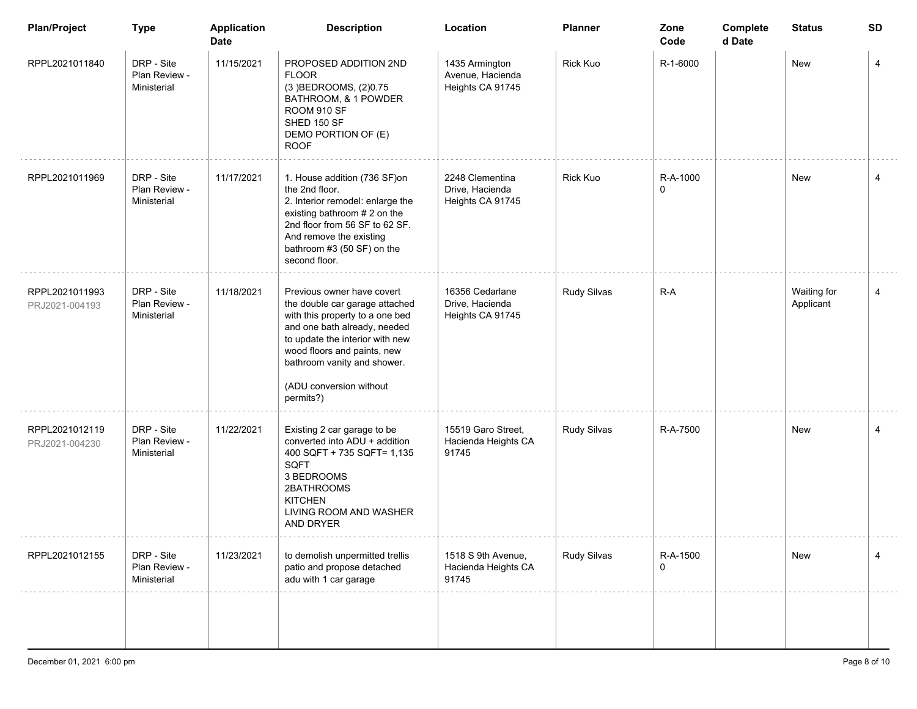| <b>Plan/Project</b>              | <b>Type</b>                                | <b>Application</b><br><b>Date</b> | <b>Description</b>                                                                                                                                                                                                                                                       | Location                                               | <b>Planner</b>  | Zone<br>Code  | Complete<br>d Date | <b>Status</b>            | SD |
|----------------------------------|--------------------------------------------|-----------------------------------|--------------------------------------------------------------------------------------------------------------------------------------------------------------------------------------------------------------------------------------------------------------------------|--------------------------------------------------------|-----------------|---------------|--------------------|--------------------------|----|
| RPPL2021011840                   | DRP - Site<br>Plan Review -<br>Ministerial | 11/15/2021                        | PROPOSED ADDITION 2ND<br><b>FLOOR</b><br>(3) BEDROOMS, (2) 0.75<br>BATHROOM, & 1 POWDER<br>ROOM 910 SF<br>SHED 150 SF<br>DEMO PORTION OF (E)<br><b>ROOF</b>                                                                                                              | 1435 Armington<br>Avenue, Hacienda<br>Heights CA 91745 | <b>Rick Kuo</b> | R-1-6000      |                    | <b>New</b>               | 4  |
| RPPL2021011969                   | DRP - Site<br>Plan Review -<br>Ministerial | 11/17/2021                        | 1. House addition (736 SF)on<br>the 2nd floor.<br>2. Interior remodel: enlarge the<br>existing bathroom # 2 on the<br>2nd floor from 56 SF to 62 SF.<br>And remove the existing<br>bathroom #3 (50 SF) on the<br>second floor.                                           | 2248 Clementina<br>Drive, Hacienda<br>Heights CA 91745 | <b>Rick Kuo</b> | R-A-1000<br>0 |                    | New                      | 4  |
| RPPL2021011993<br>PRJ2021-004193 | DRP - Site<br>Plan Review -<br>Ministerial | 11/18/2021                        | Previous owner have covert<br>the double car garage attached<br>with this property to a one bed<br>and one bath already, needed<br>to update the interior with new<br>wood floors and paints, new<br>bathroom vanity and shower.<br>(ADU conversion without<br>permits?) | 16356 Cedarlane<br>Drive, Hacienda<br>Heights CA 91745 | Rudy Silvas     | R-A           |                    | Waiting for<br>Applicant | 4  |
| RPPL2021012119<br>PRJ2021-004230 | DRP - Site<br>Plan Review -<br>Ministerial | 11/22/2021                        | Existing 2 car garage to be<br>converted into ADU + addition<br>400 SQFT + 735 SQFT= 1,135<br>SQFT<br>3 BEDROOMS<br>2BATHROOMS<br><b>KITCHEN</b><br>LIVING ROOM AND WASHER<br>AND DRYER                                                                                  | 15519 Garo Street,<br>Hacienda Heights CA<br>91745     | Rudy Silvas     | R-A-7500      |                    | New                      | 4  |
| RPPL2021012155                   | DRP - Site<br>Plan Review -<br>Ministerial | 11/23/2021                        | to demolish unpermitted trellis<br>patio and propose detached<br>adu with 1 car garage                                                                                                                                                                                   | 1518 S 9th Avenue,<br>Hacienda Heights CA<br>91745     | Rudy Silvas     | R-A-1500<br>0 |                    | New                      | 4  |
|                                  |                                            |                                   |                                                                                                                                                                                                                                                                          |                                                        |                 |               |                    |                          |    |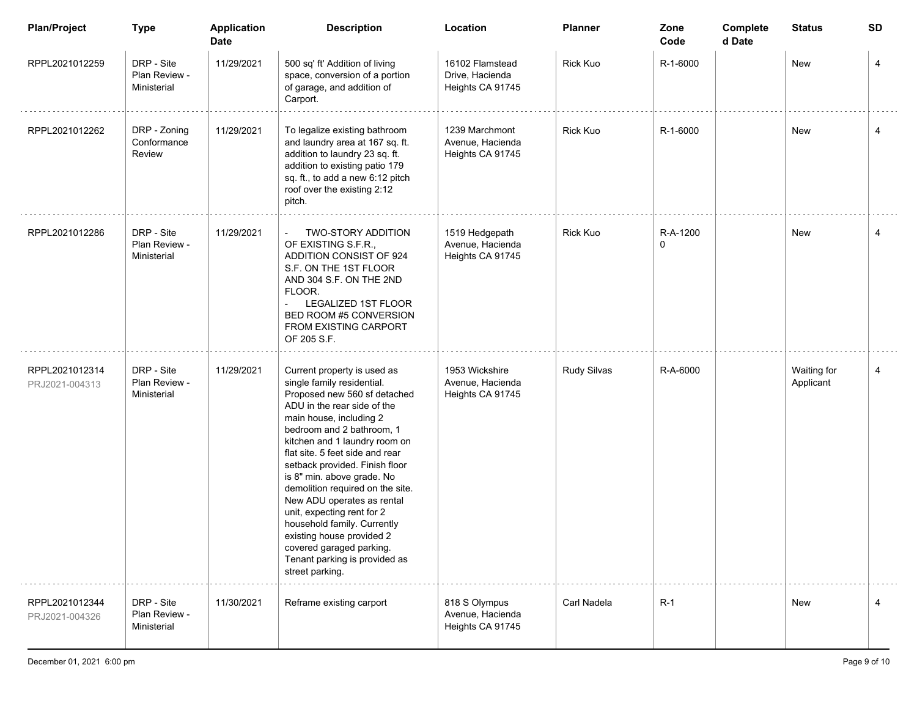| <b>Plan/Project</b>              | <b>Type</b>                                | <b>Application</b><br><b>Date</b> | <b>Description</b>                                                                                                                                                                                                                                                                                                                                                                                                                                                                                                                                               | Location                                               | Planner         | Zone<br>Code  | Complete<br>d Date | <b>Status</b>            | SD |
|----------------------------------|--------------------------------------------|-----------------------------------|------------------------------------------------------------------------------------------------------------------------------------------------------------------------------------------------------------------------------------------------------------------------------------------------------------------------------------------------------------------------------------------------------------------------------------------------------------------------------------------------------------------------------------------------------------------|--------------------------------------------------------|-----------------|---------------|--------------------|--------------------------|----|
| RPPL2021012259                   | DRP - Site<br>Plan Review -<br>Ministerial | 11/29/2021                        | 500 sq' ft' Addition of living<br>space, conversion of a portion<br>of garage, and addition of<br>Carport.                                                                                                                                                                                                                                                                                                                                                                                                                                                       | 16102 Flamstead<br>Drive, Hacienda<br>Heights CA 91745 | <b>Rick Kuo</b> | R-1-6000      |                    | New                      | 4  |
| RPPL2021012262                   | DRP - Zoning<br>Conformance<br>Review      | 11/29/2021                        | To legalize existing bathroom<br>and laundry area at 167 sq. ft.<br>addition to laundry 23 sq. ft.<br>addition to existing patio 179<br>sq. ft., to add a new 6:12 pitch<br>roof over the existing 2:12<br>pitch.                                                                                                                                                                                                                                                                                                                                                | 1239 Marchmont<br>Avenue, Hacienda<br>Heights CA 91745 | <b>Rick Kuo</b> | R-1-6000      |                    | New                      | 4  |
| RPPL2021012286                   | DRP - Site<br>Plan Review -<br>Ministerial | 11/29/2021                        | <b>TWO-STORY ADDITION</b><br>$\overline{\phantom{a}}$<br>OF EXISTING S.F.R.,<br>ADDITION CONSIST OF 924<br>S.F. ON THE 1ST FLOOR<br>AND 304 S.F. ON THE 2ND<br>FLOOR.<br><b>LEGALIZED 1ST FLOOR</b><br>BED ROOM #5 CONVERSION<br>FROM EXISTING CARPORT<br>OF 205 S.F.                                                                                                                                                                                                                                                                                            | 1519 Hedgepath<br>Avenue, Hacienda<br>Heights CA 91745 | <b>Rick Kuo</b> | R-A-1200<br>0 |                    | New                      | 4  |
| RPPL2021012314<br>PRJ2021-004313 | DRP - Site<br>Plan Review -<br>Ministerial | 11/29/2021                        | Current property is used as<br>single family residential.<br>Proposed new 560 sf detached<br>ADU in the rear side of the<br>main house, including 2<br>bedroom and 2 bathroom, 1<br>kitchen and 1 laundry room on<br>flat site. 5 feet side and rear<br>setback provided. Finish floor<br>is 8" min. above grade. No<br>demolition required on the site.<br>New ADU operates as rental<br>unit, expecting rent for 2<br>household family. Currently<br>existing house provided 2<br>covered garaged parking.<br>Tenant parking is provided as<br>street parking. | 1953 Wickshire<br>Avenue, Hacienda<br>Heights CA 91745 | Rudy Silvas     | R-A-6000      |                    | Waiting for<br>Applicant | 4  |
| RPPL2021012344<br>PRJ2021-004326 | DRP - Site<br>Plan Review -<br>Ministerial | 11/30/2021                        | Reframe existing carport                                                                                                                                                                                                                                                                                                                                                                                                                                                                                                                                         | 818 S Olympus<br>Avenue, Hacienda<br>Heights CA 91745  | Carl Nadela     | $R-1$         |                    | New                      | 4  |